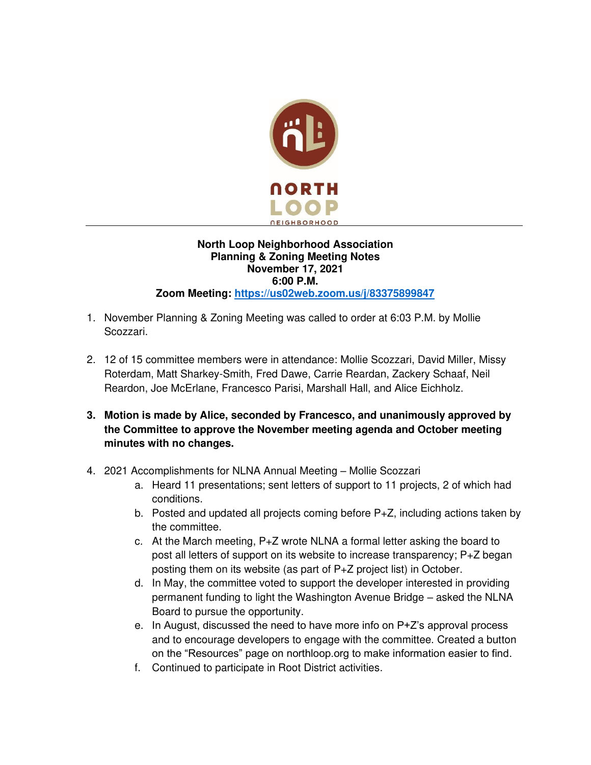

## **North Loop Neighborhood Association Planning & Zoning Meeting Notes November 17, 2021 6:00 P.M. Zoom Meeting:<https://us02web.zoom.us/j/83375899847>**

- 1. November Planning & Zoning Meeting was called to order at 6:03 P.M. by Mollie Scozzari.
- 2. 12 of 15 committee members were in attendance: Mollie Scozzari, David Miller, Missy Roterdam, Matt Sharkey-Smith, Fred Dawe, Carrie Reardan, Zackery Schaaf, Neil Reardon, Joe McErlane, Francesco Parisi, Marshall Hall, and Alice Eichholz.
- **3. Motion is made by Alice, seconded by Francesco, and unanimously approved by the Committee to approve the November meeting agenda and October meeting minutes with no changes.**
- 4. 2021 Accomplishments for NLNA Annual Meeting Mollie Scozzari
	- a. Heard 11 presentations; sent letters of support to 11 projects, 2 of which had conditions.
	- b. Posted and updated all projects coming before P+Z, including actions taken by the committee.
	- c. At the March meeting, P+Z wrote NLNA a formal letter asking the board to post all letters of support on its website to increase transparency; P+Z began posting them on its website (as part of P+Z project list) in October.
	- d. In May, the committee voted to support the developer interested in providing permanent funding to light the Washington Avenue Bridge – asked the NLNA Board to pursue the opportunity.
	- e. In August, discussed the need to have more info on P+Z's approval process and to encourage developers to engage with the committee. Created a button on the "Resources" page on northloop.org to make information easier to find.
	- f. Continued to participate in Root District activities.